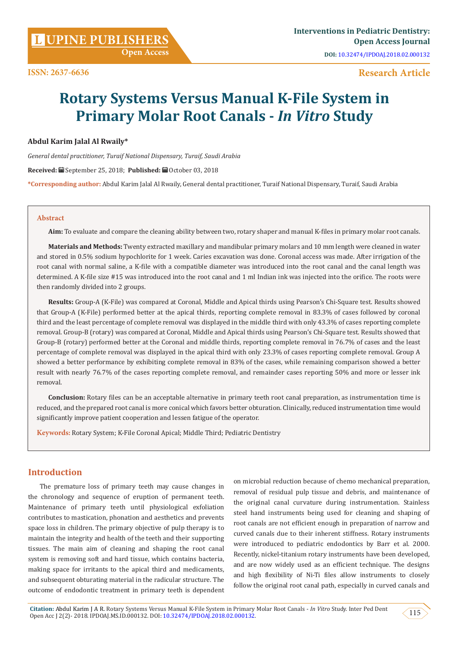## **Research Article**

# **Rotary Systems Versus Manual K-File System in Primary Molar Root Canals -** *In Vitro* **Study**

#### **Abdul Karim Jalal Al Rwaily\***

*General dental practitioner, Turaif National Dispensary, Turaif, Saudi Arabia*

Received: **■** September 25, 2018; Published: ■ October 03, 2018

**\*Corresponding author:** Abdul Karim Jalal Al Rwaily, General dental practitioner, Turaif National Dispensary, Turaif, Saudi Arabia

#### **Abstract**

**Aim:** To evaluate and compare the cleaning ability between two, rotary shaper and manual K-files in primary molar root canals.

**Materials and Methods:** Twenty extracted maxillary and mandibular primary molars and 10 mm length were cleaned in water and stored in 0.5% sodium hypochlorite for 1 week. Caries excavation was done. Coronal access was made. After irrigation of the root canal with normal saline, a K-file with a compatible diameter was introduced into the root canal and the canal length was determined. A K-file size #15 was introduced into the root canal and 1 ml Indian ink was injected into the orifice. The roots were then randomly divided into 2 groups.

**Results:** Group-A (K-File) was compared at Coronal, Middle and Apical thirds using Pearson's Chi-Square test. Results showed that Group-A (K-File) performed better at the apical thirds, reporting complete removal in 83.3% of cases followed by coronal third and the least percentage of complete removal was displayed in the middle third with only 43.3% of cases reporting complete removal. Group-B (rotary) was compared at Coronal, Middle and Apical thirds using Pearson's Chi-Square test. Results showed that Group-B (rotary) performed better at the Coronal and middle thirds, reporting complete removal in 76.7% of cases and the least percentage of complete removal was displayed in the apical third with only 23.3% of cases reporting complete removal. Group A showed a better performance by exhibiting complete removal in 83% of the cases, while remaining comparison showed a better result with nearly 76.7% of the cases reporting complete removal, and remainder cases reporting 50% and more or lesser ink removal.

**Conclusion:** Rotary files can be an acceptable alternative in primary teeth root canal preparation, as instrumentation time is reduced, and the prepared root canal is more conical which favors better obturation. Clinically, reduced instrumentation time would significantly improve patient cooperation and lessen fatigue of the operator.

**Keywords:** Rotary System; K-File Coronal Apical; Middle Third; Pediatric Dentistry

# **Introduction**

The premature loss of primary teeth may cause changes in the chronology and sequence of eruption of permanent teeth. Maintenance of primary teeth until physiological exfoliation contributes to mastication, phonation and aesthetics and prevents space loss in children. The primary objective of pulp therapy is to maintain the integrity and health of the teeth and their supporting tissues. The main aim of cleaning and shaping the root canal system is removing soft and hard tissue, which contains bacteria, making space for irritants to the apical third and medicaments, and subsequent obturating material in the radicular structure. The outcome of endodontic treatment in primary teeth is dependent on microbial reduction because of chemo mechanical preparation, removal of residual pulp tissue and debris, and maintenance of the original canal curvature during instrumentation. Stainless steel hand instruments being used for cleaning and shaping of root canals are not efficient enough in preparation of narrow and curved canals due to their inherent stiffness. Rotary instruments were introduced to pediatric endodontics by Barr et al. 2000. Recently, nickel-titanium rotary instruments have been developed, and are now widely used as an efficient technique. The designs and high flexibility of Ni-Ti files allow instruments to closely follow the original root canal path, especially in curved canals and

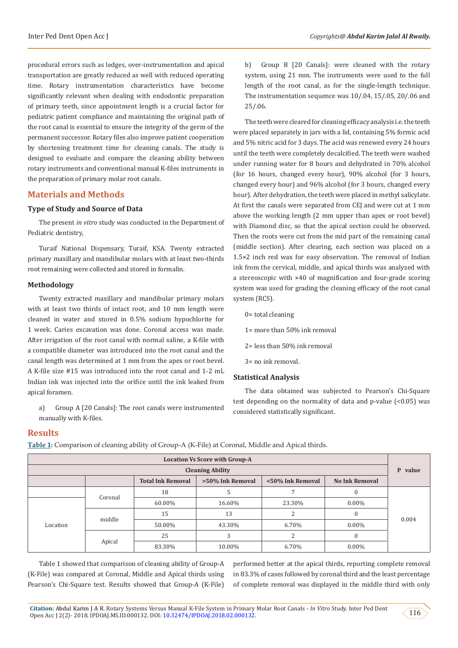procedural errors such as ledges, over-instrumentation and apical transportation are greatly reduced as well with reduced operating time. Rotary instrumentation characteristics have become significantly relevant when dealing with endodontic preparation of primary teeth, since appointment length is a crucial factor for pediatric patient compliance and maintaining the original path of the root canal is essential to ensure the integrity of the germ of the permanent successor. Rotary files also improve patient cooperation by shortening treatment time for cleaning canals. The study is designed to evaluate and compare the cleaning ability between rotary instruments and conventional manual K-files instruments in the preparation of primary molar root canals.

## **Materials and Methods**

#### **Type of Study and Source of Data**

The present *in vitro* study was conducted in the Department of Pediatric dentistry,

Turaif National Dispensary, Turaif, KSA. Twenty extracted primary maxillary and mandibular molars with at least two-thirds root remaining were collected and stored in formalin.

#### **Methodology**

Twenty extracted maxillary and mandibular primary molars with at least two thirds of intact root, and 10 mm length were cleaned in water and stored in 0.5% sodium hypochlorite for 1 week. Caries excavation was done. Coronal access was made. After irrigation of the root canal with normal saline, a K-file with a compatible diameter was introduced into the root canal and the canal length was determined at 1 mm from the apex or root bevel. A K-file size #15 was introduced into the root canal and 1-2 mL Indian ink was injected into the orifice until the ink leaked from apical foramen.

a) Group A [20 Canals]: The root canals were instrumented manually with K-files.

b) Group B [20 Canals]: were cleaned with the rotary system, using 21 mm. The instruments were used to the full length of the root canal, as for the single-length technique. The instrumentation sequence was 10/.04, 15/.05, 20/.06 and 25/.06.

The teeth were cleared for cleaning efficacy analysis i.e. the teeth were placed separately in jars with a lid, containing 5% formic acid and 5% nitric acid for 3 days. The acid was renewed every 24 hours until the teeth were completely decalcified. The teeth were washed under running water for 8 hours and dehydrated in 70% alcohol (for 16 hours, changed every hour), 90% alcohol (for 3 hours, changed every hour) and 96% alcohol (for 3 hours, changed every hour). After dehydration, the teeth were placed in methyl salicylate. At first the canals were separated from CEJ and were cut at 1 mm above the working length (2 mm upper than apex or root bevel) with Diamond disc, so that the apical section could be observed. Then the roots were cut from the mid part of the remaining canal (middle section). After clearing, each section was placed on a 1.5×2 inch red wax for easy observation. The removal of Indian ink from the cervical, middle, and apical thirds was analyzed with a stereoscopic with ×40 of magnification and four-grade scoring system was used for grading the cleaning efficacy of the root canal system (RCS).

- 0= total cleaning
- 1= more than 50% ink removal
- 2= less than 50% ink removal
- 3= no ink removal.

#### **Statistical Analysis**

The data obtained was subjected to Pearson's Chi-Square test depending on the normality of data and p-value (<0.05) was considered statistically significant.

## **Results**

**Table 1:** Comparison of cleaning ability of Group-A (K-File) at Coronal, Middle and Apical thirds.

| <b>Location Vs Score with Group-A</b> |         |                          |                  |                  |                       |       |  |
|---------------------------------------|---------|--------------------------|------------------|------------------|-----------------------|-------|--|
| <b>Cleaning Ability</b>               |         |                          |                  |                  |                       |       |  |
|                                       |         | <b>Total Ink Removal</b> | >50% Ink Removal | <50% Ink Removal | <b>No Ink Removal</b> |       |  |
|                                       | Coronal | 18                       |                  |                  |                       |       |  |
| Location                              |         | 60.00%                   | 16.60%           | 23.30%           | $0.00\%$              | 0.004 |  |
|                                       | middle  | 15                       | 13               |                  |                       |       |  |
|                                       |         | 50.00%                   | 43.30%           | 6.70%            | $0.00\%$              |       |  |
|                                       | Apical  | 25                       |                  |                  |                       |       |  |
|                                       |         | 83.30%                   | 10.00%           | 6.70%            | $0.00\%$              |       |  |

Table 1 showed that comparison of cleaning ability of Group-A (K-File) was compared at Coronal, Middle and Apical thirds using Pearson's Chi-Square test. Results showed that Group-A (K-File) performed better at the apical thirds, reporting complete removal in 83.3% of cases followed by coronal third and the least percentage of complete removal was displayed in the middle third with only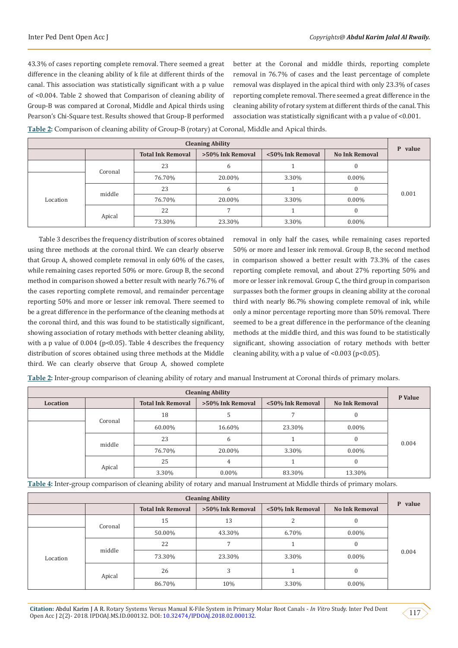43.3% of cases reporting complete removal. There seemed a great difference in the cleaning ability of k file at different thirds of the canal. This association was statistically significant with a p value of <0.004. Table 2 showed that Comparison of cleaning ability of Group-B was compared at Coronal, Middle and Apical thirds using Pearson's Chi-Square test. Results showed that Group-B performed

better at the Coronal and middle thirds, reporting complete removal in 76.7% of cases and the least percentage of complete removal was displayed in the apical third with only 23.3% of cases reporting complete removal. There seemed a great difference in the cleaning ability of rotary system at different thirds of the canal. This association was statistically significant with a p value of <0.001.

| <b>Cleaning Ability</b> |         |                          |                  |                  |                       |         |
|-------------------------|---------|--------------------------|------------------|------------------|-----------------------|---------|
|                         |         | <b>Total Ink Removal</b> | >50% Ink Removal | <50% Ink Removal | <b>No Ink Removal</b> | P value |
|                         | Coronal | 23                       | b                |                  |                       | 0.001   |
| Location                |         | 76.70%                   | 20.00%           | 3.30%            | $0.00\%$              |         |
|                         | middle  | 23                       | 6                |                  |                       |         |
|                         |         | 76.70%                   | 20.00%           | 3.30%            | $0.00\%$              |         |
|                         | Apical  | 22                       |                  |                  |                       |         |
|                         |         | 73.30%                   | 23.30%           | 3.30%            | $0.00\%$              |         |

**Table 2:** Comparison of cleaning ability of Group-B (rotary) at Coronal, Middle and Apical thirds.

Table 3 describes the frequency distribution of scores obtained using three methods at the coronal third. We can clearly observe that Group A, showed complete removal in only 60% of the cases, while remaining cases reported 50% or more. Group B, the second method in comparison showed a better result with nearly 76.7% of the cases reporting complete removal, and remainder percentage reporting 50% and more or lesser ink removal. There seemed to be a great difference in the performance of the cleaning methods at the coronal third, and this was found to be statistically significant, showing association of rotary methods with better cleaning ability, with a p value of  $0.004$  (p<0.05). Table 4 describes the frequency distribution of scores obtained using three methods at the Middle third. We can clearly observe that Group A, showed complete

removal in only half the cases, while remaining cases reported 50% or more and lesser ink removal. Group B, the second method in comparison showed a better result with 73.3% of the cases reporting complete removal, and about 27% reporting 50% and more or lesser ink removal. Group C, the third group in comparison surpasses both the former groups in cleaning ability at the coronal third with nearly 86.7% showing complete removal of ink, while only a minor percentage reporting more than 50% removal. There seemed to be a great difference in the performance of the cleaning methods at the middle third, and this was found to be statistically significant, showing association of rotary methods with better cleaning ability, with a p value of  $< 0.003$  (p $< 0.05$ ).

**Table 2:** Inter-group comparison of cleaning ability of rotary and manual Instrument at Coronal thirds of primary molars.

| <b>Cleaning Ability</b> |         |                          |                  |                  |                       |         |
|-------------------------|---------|--------------------------|------------------|------------------|-----------------------|---------|
| Location                |         | <b>Total Ink Removal</b> | >50% Ink Removal | <50% Ink Removal | <b>No Ink Removal</b> | P Value |
|                         | Coronal | 18                       |                  |                  |                       | 0.004   |
|                         |         | 60.00%                   | 16.60%           | 23.30%           | $0.00\%$              |         |
|                         | middle  | 23                       | b                |                  |                       |         |
|                         |         | 76.70%                   | 20.00%           | 3.30%            | $0.00\%$              |         |
|                         |         | 25                       | 4                |                  |                       |         |
|                         | Apical  | 3.30%                    | $0.00\%$         | 83.30%           | 13.30%                |         |

**Table 4:** Inter-group comparison of cleaning ability of rotary and manual Instrument at Middle thirds of primary molars.

| <b>Cleaning Ability</b> |         |                          |                  |                  |                       |         |
|-------------------------|---------|--------------------------|------------------|------------------|-----------------------|---------|
|                         |         | <b>Total Ink Removal</b> | >50% Ink Removal | <50% Ink Removal | <b>No Ink Removal</b> | P value |
|                         | Coronal | 15                       | 13               |                  | 0                     | 0.004   |
| Location                |         | 50.00%                   | 43.30%           | 6.70%            | $0.00\%$              |         |
|                         | middle  | 22                       |                  |                  | 0                     |         |
|                         |         | 73.30%                   | 23.30%           | 3.30%            | $0.00\%$              |         |
|                         | Apical  | 26                       | 3                |                  | $\Omega$              |         |
|                         |         | 86.70%                   | 10%              | 3.30%            | $0.00\%$              |         |

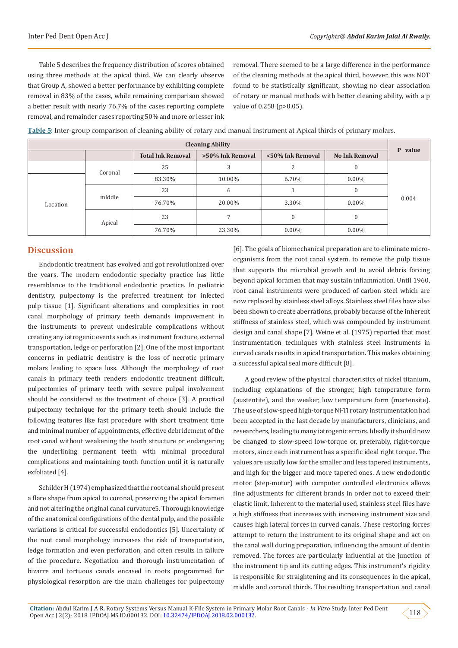Table 5 describes the frequency distribution of scores obtained using three methods at the apical third. We can clearly observe that Group A, showed a better performance by exhibiting complete removal in 83% of the cases, while remaining comparison showed a better result with nearly 76.7% of the cases reporting complete removal, and remainder cases reporting 50% and more or lesser ink removal. There seemed to be a large difference in the performance of the cleaning methods at the apical third, however, this was NOT found to be statistically significant, showing no clear association of rotary or manual methods with better cleaning ability, with a p value of 0.258 (p>0.05).

| <b>Cleaning Ability</b> |         |                          |                  |                  |                       |            |
|-------------------------|---------|--------------------------|------------------|------------------|-----------------------|------------|
|                         |         | <b>Total Ink Removal</b> | >50% Ink Removal | <50% Ink Removal | <b>No Ink Removal</b> | value<br>P |
|                         | Coronal | 25                       | .5               |                  | $\Omega$              | 0.004      |
| Location                |         | 83.30%                   | 10.00%           | 6.70%            | $0.00\%$              |            |
|                         | middle  | 23                       | 6                |                  | $\Omega$              |            |
|                         |         | 76.70%                   | 20.00%           | 3.30%            | $0.00\%$              |            |
|                         | Apical  | 23                       |                  | $\theta$         | $\Omega$              |            |
|                         |         | 76.70%                   | 23.30%           | $0.00\%$         | $0.00\%$              |            |

**Table 5:** Inter-group comparison of cleaning ability of rotary and manual Instrument at Apical thirds of primary molars.

## **Discussion**

Endodontic treatment has evolved and got revolutionized over the years. The modern endodontic specialty practice has little resemblance to the traditional endodontic practice. In pediatric dentistry, pulpectomy is the preferred treatment for infected pulp tissue [1]. Significant alterations and complexities in root canal morphology of primary teeth demands improvement in the instruments to prevent undesirable complications without creating any iatrogenic events such as instrument fracture, external transportation, ledge or perforation [2]. One of the most important concerns in pediatric dentistry is the loss of necrotic primary molars leading to space loss. Although the morphology of root canals in primary teeth renders endodontic treatment difficult, pulpectomies of primary teeth with severe pulpal involvement should be considered as the treatment of choice [3]. A practical pulpectomy technique for the primary teeth should include the following features like fast procedure with short treatment time and minimal number of appointments, effective debridement of the root canal without weakening the tooth structure or endangering the underlining permanent teeth with minimal procedural complications and maintaining tooth function until it is naturally exfoliated [4].

Schilder H (1974) emphasized that the root canal should present a flare shape from apical to coronal, preserving the apical foramen and not altering the original canal curvature5. Thorough knowledge of the anatomical configurations of the dental pulp, and the possible variations is critical for successful endodontics [5]. Uncertainty of the root canal morphology increases the risk of transportation, ledge formation and even perforation, and often results in failure of the procedure. Negotiation and thorough instrumentation of bizarre and tortuous canals encased in roots programmed for physiological resorption are the main challenges for pulpectomy

[6]. The goals of biomechanical preparation are to eliminate microorganisms from the root canal system, to remove the pulp tissue that supports the microbial growth and to avoid debris forcing beyond apical foramen that may sustain inflammation. Until 1960, root canal instruments were produced of carbon steel which are now replaced by stainless steel alloys. Stainless steel files have also been shown to create aberrations, probably because of the inherent stiffness of stainless steel, which was compounded by instrument design and canal shape [7]. Weine et al. (1975) reported that most instrumentation techniques with stainless steel instruments in curved canals results in apical transportation. This makes obtaining a successful apical seal more difficult [8].

A good review of the physical characteristics of nickel titanium, including explanations of the stronger, high temperature form (austentite), and the weaker, low temperature form (martensite). The use of slow-speed high-torque Ni-Ti rotary instrumentation had been accepted in the last decade by manufacturers, clinicians, and researchers, leading to many iatrogenic errors. Ideally it should now be changed to slow-speed low-torque or, preferably, right-torque motors, since each instrument has a specific ideal right torque. The values are usually low for the smaller and less tapered instruments, and high for the bigger and more tapered ones. A new endodontic motor (step-motor) with computer controlled electronics allows fine adjustments for different brands in order not to exceed their elastic limit. Inherent to the material used, stainless steel files have a high stiffness that increases with increasing instrument size and causes high lateral forces in curved canals. These restoring forces attempt to return the instrument to its original shape and act on the canal wall during preparation, influencing the amount of dentin removed. The forces are particularly influential at the junction of the instrument tip and its cutting edges. This instrument's rigidity is responsible for straightening and its consequences in the apical, middle and coronal thirds. The resulting transportation and canal

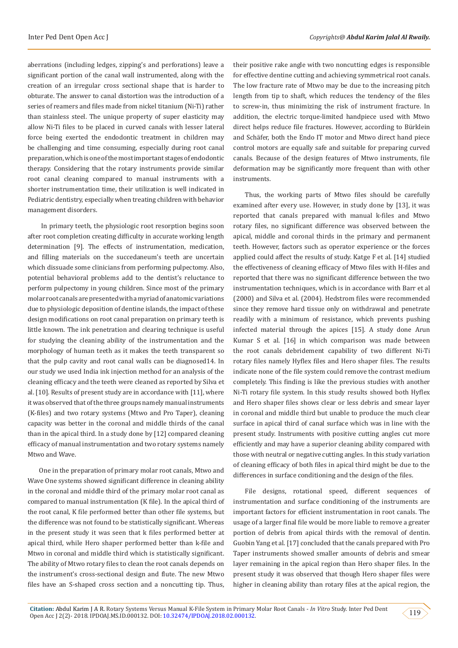aberrations (including ledges, zipping's and perforations) leave a significant portion of the canal wall instrumented, along with the creation of an irregular cross sectional shape that is harder to obturate. The answer to canal distortion was the introduction of a series of reamers and files made from nickel titanium (Ni-Ti) rather than stainless steel. The unique property of super elasticity may allow Ni-Ti files to be placed in curved canals with lesser lateral force being exerted the endodontic treatment in children may be challenging and time consuming, especially during root canal preparation, which is one of the most important stages of endodontic therapy. Considering that the rotary instruments provide similar root canal cleaning compared to manual instruments with a shorter instrumentation time, their utilization is well indicated in Pediatric dentistry, especially when treating children with behavior management disorders.

 In primary teeth, the physiologic root resorption begins soon after root completion creating difficulty in accurate working length determination [9]. The effects of instrumentation, medication, and filling materials on the succedaneum's teeth are uncertain which dissuade some clinicians from performing pulpectomy. Also, potential behavioral problems add to the dentist's reluctance to perform pulpectomy in young children. Since most of the primary molar root canals are presented with a myriad of anatomic variations due to physiologic deposition of dentine islands, the impact of these design modifications on root canal preparation on primary teeth is little known. The ink penetration and clearing technique is useful for studying the cleaning ability of the instrumentation and the morphology of human teeth as it makes the teeth transparent so that the pulp cavity and root canal walls can be diagnosed14. In our study we used India ink injection method for an analysis of the cleaning efficacy and the teeth were cleaned as reported by Silva et al. [10]. Results of present study are in accordance with [11], where it was observed that of the three groups namely manual instruments (K-files) and two rotary systems (Mtwo and Pro Taper), cleaning capacity was better in the coronal and middle thirds of the canal than in the apical third. In a study done by [12] compared cleaning efficacy of manual instrumentation and two rotary systems namely Mtwo and Wave.

One in the preparation of primary molar root canals, Mtwo and Wave One systems showed significant difference in cleaning ability in the coronal and middle third of the primary molar root canal as compared to manual instrumentation (K file). In the apical third of the root canal, K file performed better than other file systems, but the difference was not found to be statistically significant. Whereas in the present study it was seen that k files performed better at apical third, while Hero shaper performed better than k-file and Mtwo in coronal and middle third which is statistically significant. The ability of Mtwo rotary files to clean the root canals depends on the instrument's cross-sectional design and flute. The new Mtwo files have an S-shaped cross section and a noncutting tip. Thus,

their positive rake angle with two noncutting edges is responsible for effective dentine cutting and achieving symmetrical root canals. The low fracture rate of Mtwo may be due to the increasing pitch length from tip to shaft, which reduces the tendency of the files to screw-in, thus minimizing the risk of instrument fracture. In addition, the electric torque-limited handpiece used with Mtwo direct helps reduce file fractures. However, according to Bürklein and Schäfer, both the Endo IT motor and Mtwo direct hand piece control motors are equally safe and suitable for preparing curved canals. Because of the design features of Mtwo instruments, file deformation may be significantly more frequent than with other instruments.

Thus, the working parts of Mtwo files should be carefully examined after every use. However, in study done by [13], it was reported that canals prepared with manual k-files and Mtwo rotary files, no significant difference was observed between the apical, middle and coronal thirds in the primary and permanent teeth. However, factors such as operator experience or the forces applied could affect the results of study. Katge F et al. [14] studied the effectiveness of cleaning efficacy of Mtwo files with H-files and reported that there was no significant difference between the two instrumentation techniques, which is in accordance with Barr et al (2000) and Silva et al. (2004). Hedstrom files were recommended since they remove hard tissue only on withdrawal and penetrate readily with a minimum of resistance, which prevents pushing infected material through the apices [15]. A study done Arun Kumar S et al. [16] in which comparison was made between the root canals debridement capability of two different Ni-Ti rotary files namely Hyflex files and Hero shaper files. The results indicate none of the file system could remove the contrast medium completely. This finding is like the previous studies with another Ni-Ti rotary file system. In this study results showed both Hyflex and Hero shaper files shows clear or less debris and smear layer in coronal and middle third but unable to produce the much clear surface in apical third of canal surface which was in line with the present study. Instruments with positive cutting angles cut more efficiently and may have a superior cleaning ability compared with those with neutral or negative cutting angles. In this study variation of cleaning efficacy of both files in apical third might be due to the differences in surface conditioning and the design of the files.

File designs, rotational speed, different sequences of instrumentation and surface conditioning of the instruments are important factors for efficient instrumentation in root canals. The usage of a larger final file would be more liable to remove a greater portion of debris from apical thirds with the removal of dentin. Guobin Yang et al. [17] concluded that the canals prepared with Pro Taper instruments showed smaller amounts of debris and smear layer remaining in the apical region than Hero shaper files. In the present study it was observed that though Hero shaper files were higher in cleaning ability than rotary files at the apical region, the